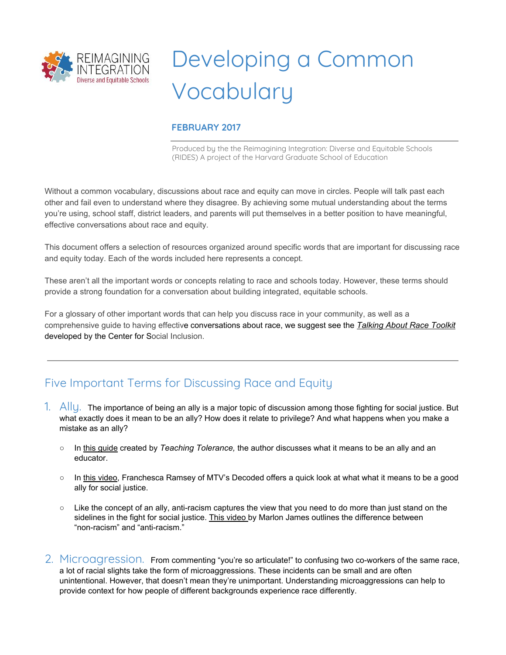

## Developing a Common Vocabulary

## **FEBRUARY 2017**

Produced by the the Reimagining Integration: Diverse and Equitable Schools (RIDES) A project of the Harvard Graduate School of Education

Without a common vocabulary, discussions about race and equity can move in circles. People will talk past each other and fail even to understand where they disagree. By achieving some mutual understanding about the terms you're using, school staff, district leaders, and parents will put themselves in a better position to have meaningful, effective conversations about race and equity.

This document offers a selection of resources organized around specific words that are important for discussing race and equity today. Each of the words included here represents a concept.

These aren't all the important words or concepts relating to race and schools today. However, these terms should provide a strong foundation for a conversation about building integrated, equitable schools.

For a glossary of other important words that can help you discuss race in your community, as well as a comprehensive guide to having effective conversations about race, we suggest see the *[Talking About](http://www.centerforsocialinclusion.org/wp-content/uploads/2015/08/CSI-Talking-About-Race-Toolkit.pdf) Race Toolkit* developed by the Center for Social Inclusion.

## Five Important Terms for Discussing Race and Equity

- 1. Ally. The importance of being an ally is a major topic of discussion among those fighting for social justice. But what exactly does it mean to be an ally? How does it relate to privilege? And what happens when you make a mistake as an ally?
	- In [this guide](http://www.tolerance.org/magazine/number-53-summer-2016/feature/anatomy-ally) created by *Teaching Tolerance,* the author discusses what it means to be an ally and an educator.
	- In [this video,](https://www.youtube.com/watch?v=_dg86g-QlM0) Franchesca Ramsey of MTV's Decoded offers a quick look at what what it means to be a good ally for social justice.
	- Like the concept of an ally, anti-racism captures the view that you need to do more than just stand on the sidelines in the fight for social justice. [This video b](https://www.theguardian.com/commentisfree/video/2016/jan/13/marlon-james-are-you-racist-video)y Marlon James outlines the difference between "non-racism" and "anti-racism."
- 2. Microagression. From commenting "you're so articulate!" to confusing two co-workers of the same race, a lot of racial slights take the form of microaggressions. These incidents can be small and are often unintentional. However, that doesn't mean they're unimportant. Understanding microaggressions can help to provide context for how people of different backgrounds experience race differently.